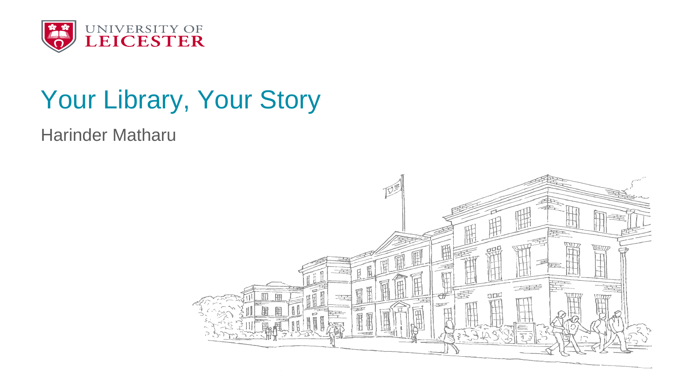

### Your Library, Your Story

Harinder Matharu

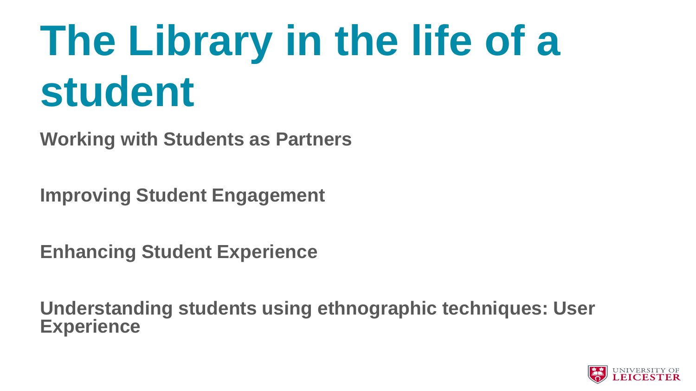### **The Library in the life of a student**

**Working with Students as Partners**

**Improving Student Engagement** 

**Enhancing Student Experience** 

**Understanding students using ethnographic techniques: User Experience** 

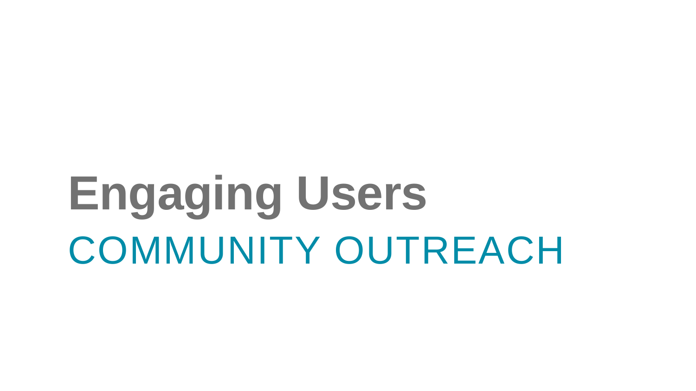# **Engaging Users** COMMUNITY OUTREACH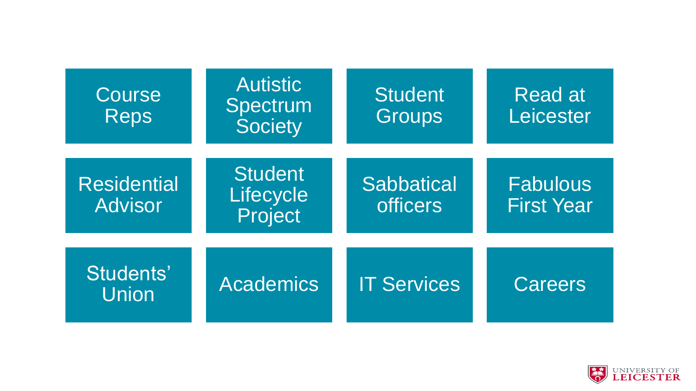| Course<br><b>Reps</b>                | <b>Autistic</b><br>Spectrum<br><b>Society</b> | <b>Student</b><br>Groups      | Read at<br>Leicester          |
|--------------------------------------|-----------------------------------------------|-------------------------------|-------------------------------|
| <b>Residential</b><br><b>Advisor</b> | <b>Student</b><br>Lifecycle<br>Project        | Sabbatical<br><b>officers</b> | Fabulous<br><b>First Year</b> |
| Students'<br>Union                   | <b>Academics</b>                              | <b>IT Services</b>            | <b>Careers</b>                |

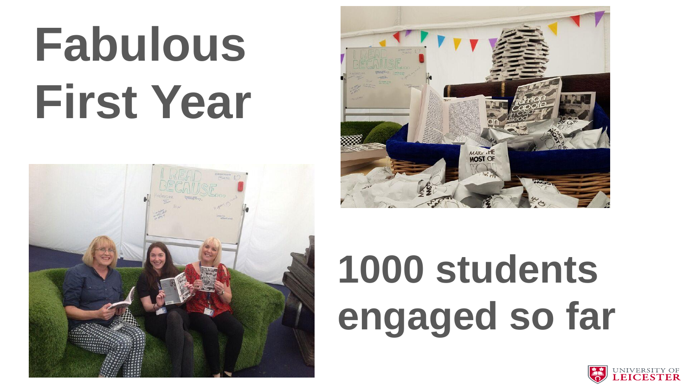# **Fabulous First Year**





### **1000 students engaged so far**

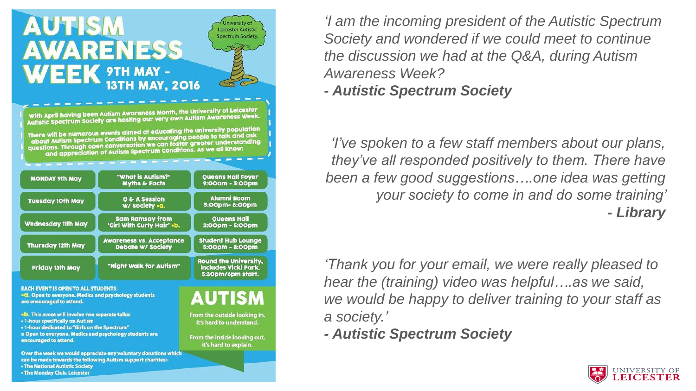

*'I am the incoming president of the Autistic Spectrum Society and wondered if we could meet to continue the discussion we had at the Q&A, during Autism Awareness Week?*

*- Autistic Spectrum Society* 

*'I've spoken to a few staff members about our plans, they've all responded positively to them. There have been a few good suggestions….one idea was getting your society to come in and do some training' - Library* 

*'Thank you for your email, we were really pleased to hear the (training) video was helpful….as we said, we would be happy to deliver training to your staff as a society.'*

*- Autistic Spectrum Society*

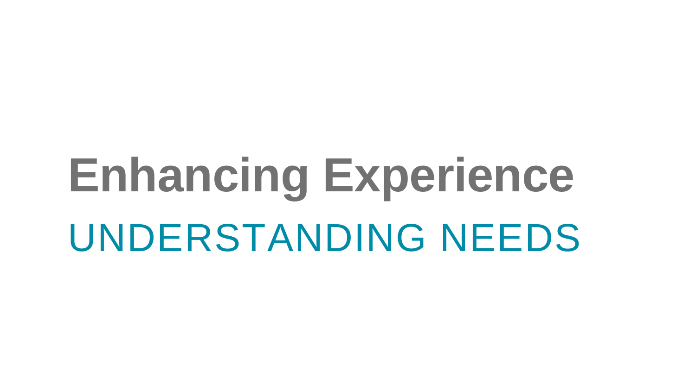# **Enhancing Experience** UNDERSTANDING NEEDS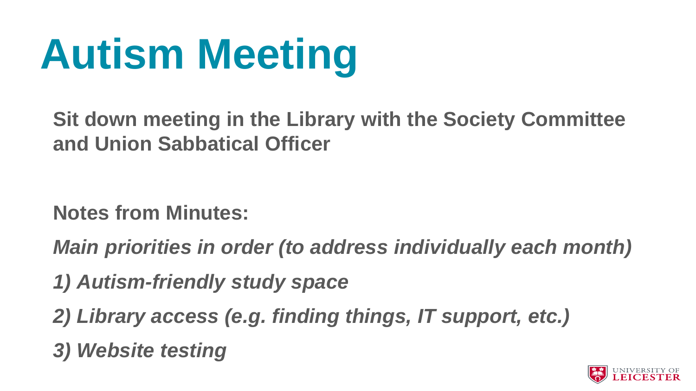

**Sit down meeting in the Library with the Society Committee and Union Sabbatical Officer** 

**Notes from Minutes:**

*Main priorities in order (to address individually each month)*

- *1) Autism-friendly study space*
- *2) Library access (e.g. finding things, IT support, etc.)*
- *3) Website testing*

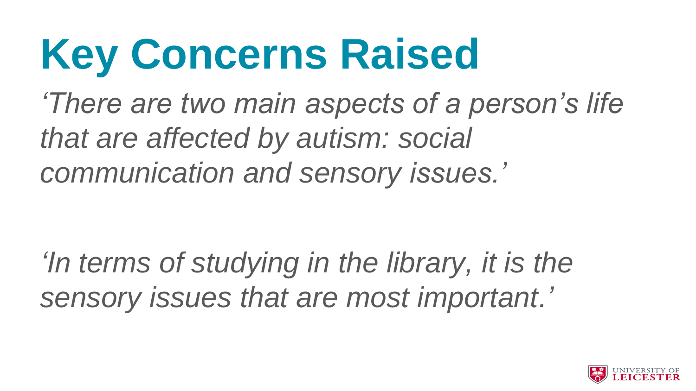# **Key Concerns Raised**

*'There are two main aspects of a person's life that are affected by autism: social communication and sensory issues.'*

*'In terms of studying in the library, it is the sensory issues that are most important.'*

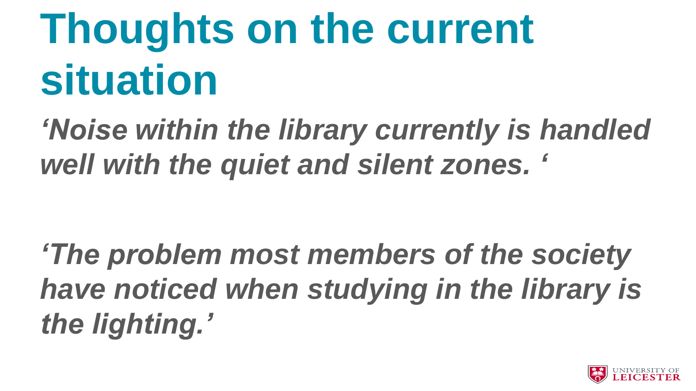# **Thoughts on the current situation**

*'Noise within the library currently is handled well with the quiet and silent zones. '*

*'The problem most members of the society have noticed when studying in the library is the lighting.'*

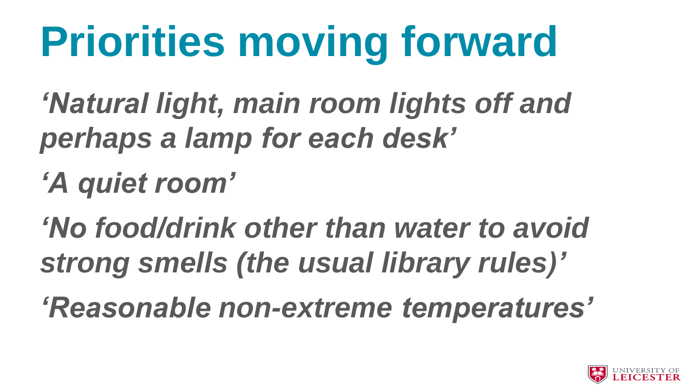# **Priorities moving forward**

*'Natural light, main room lights off and perhaps a lamp for each desk'*

*'A quiet room'*

*'No food/drink other than water to avoid strong smells (the usual library rules)'*

*'Reasonable non-extreme temperatures'*

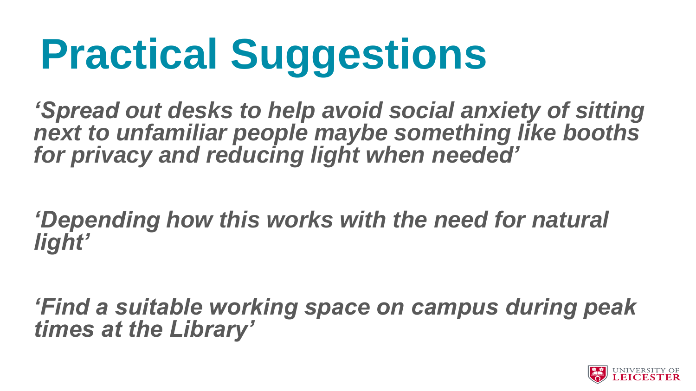# **Practical Suggestions**

*'Spread out desks to help avoid social anxiety of sitting next to unfamiliar people maybe something like booths for privacy and reducing light when needed'*

*'Depending how this works with the need for natural light'*

*'Find a suitable working space on campus during peak times at the Library'*

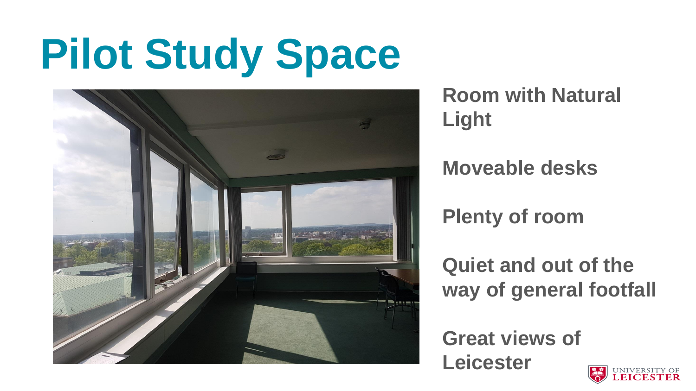## **Pilot Study Space**



**Room with Natural Light** 

**Moveable desks** 

**Plenty of room** 

**Quiet and out of the way of general footfall** 

**Great views of Leicester** 

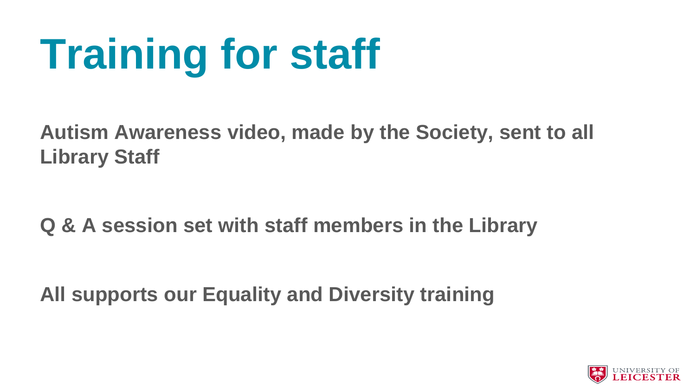# **Training for staff**

**Autism Awareness video, made by the Society, sent to all Library Staff** 

**Q & A session set with staff members in the Library** 

**All supports our Equality and Diversity training** 

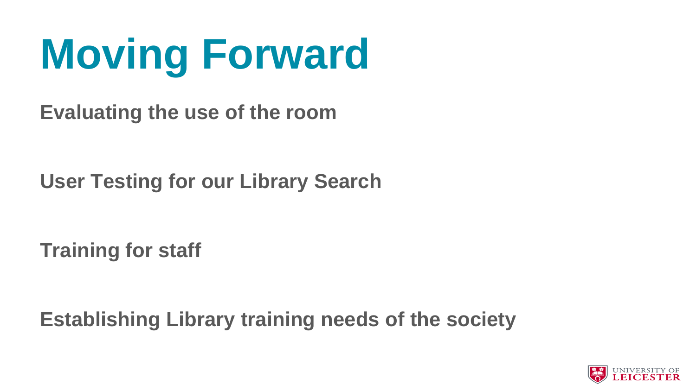# **Moving Forward**

**Evaluating the use of the room** 

**User Testing for our Library Search** 

**Training for staff** 

**Establishing Library training needs of the society**